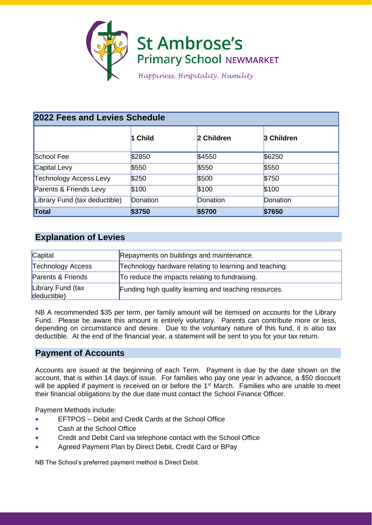

| 2022 Fees and Levies Schedule |          |            |            |
|-------------------------------|----------|------------|------------|
|                               | 1 Child  | 2 Children | 3 Children |
| School Fee                    | \$2850   | \$4550     | \$6250     |
| Capital Levy                  | \$550    | \$550      | \$550      |
| <b>Technology Access Levy</b> | \$250    | \$500      | \$750      |
| Parents & Friends Levy        | \$100    | \$100      | \$100      |
| Library Fund (tax deductible) | Donation | Donation   | Donation   |
| Total                         | \$3750   | \$5700     | \$7650     |

# **Explanation of Levies**

| Capital                          | Repayments on buildings and maintenance.               |
|----------------------------------|--------------------------------------------------------|
| <b>Technology Access</b>         | Technology hardware relating to learning and teaching. |
| Parents & Friends                | To reduce the impacts relating to fundraising.         |
| Library Fund (tax<br>deductible) | Funding high quality learning and teaching resources.  |

NB A recommended \$35 per term, per family amount will be itemised on accounts for the Library Fund. Please be aware this amount is entirely voluntary. Parents can contribute more or less, depending on circumstance and desire. Due to the voluntary nature of this fund, it is also tax deductible. At the end of the financial year, a statement will be sent to you for your tax return.

## **Payment of Accounts**

Accounts are issued at the beginning of each Term. Payment is due by the date shown on the account, that is within 14 days of issue. For families who pay one year in advance, a \$50 discount will be applied if payment is received on or before the 1<sup>st</sup> March. Families who are unable to meet their financial obligations by the due date must contact the School Finance Officer.

Payment Methods include:

- EFTPOS Debit and Credit Cards at the School Office
- Cash at the School Office
- Credit and Debit Card via telephone contact with the School Office
- Agreed Payment Plan by Direct Debit, Credit Card or BPay

NB The School's preferred payment method is Direct Debit.